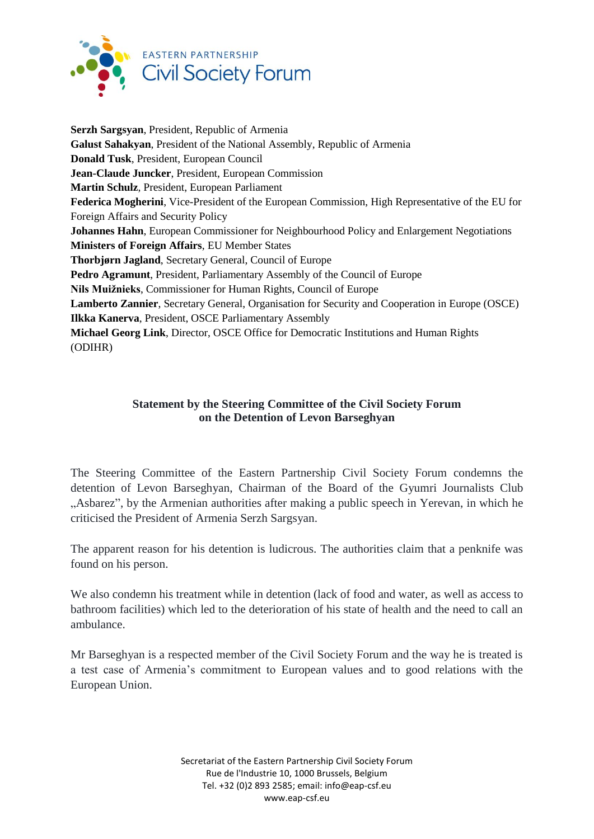

**Serzh Sargsyan**, President, Republic of Armenia **Galust Sahakyan**, President of the National Assembly, Republic of Armenia **Donald Tusk**, President, European Council **Jean-Claude Juncker**, President, European Commission **Martin Schulz**, President, European Parliament **Federica Mogherini**, Vice-President of the European Commission, High Representative of the EU for Foreign Affairs and Security Policy **Johannes Hahn**, European Commissioner for Neighbourhood Policy and Enlargement Negotiations **Ministers of Foreign Affairs**, EU Member States **Thorbjørn Jagland**, Secretary General, Council of Europe **Pedro Agramunt**, President, Parliamentary Assembly of the Council of Europe **Nils Muižnieks**, Commissioner for Human Rights, Council of Europe **Lamberto Zannier**, Secretary General, Organisation for Security and Cooperation in Europe (OSCE) **Ilkka Kanerva**, President, OSCE Parliamentary Assembly **Michael Georg Link**, Director, OSCE Office for Democratic Institutions and Human Rights (ODIHR)

## **Statement by the Steering Committee of the Civil Society Forum on the Detention of Levon Barseghyan**

The Steering Committee of the Eastern Partnership Civil Society Forum condemns the detention of Levon Barseghyan, Chairman of the Board of the Gyumri Journalists Club "Asbarez", by the Armenian authorities after making a public speech in Yerevan, in which he criticised the President of Armenia Serzh Sargsyan.

The apparent reason for his detention is ludicrous. The authorities claim that a penknife was found on his person.

We also condemn his treatment while in detention (lack of food and water, as well as access to bathroom facilities) which led to the deterioration of his state of health and the need to call an ambulance.

Mr Barseghyan is a respected member of the Civil Society Forum and the way he is treated is a test case of Armenia's commitment to European values and to good relations with the European Union.